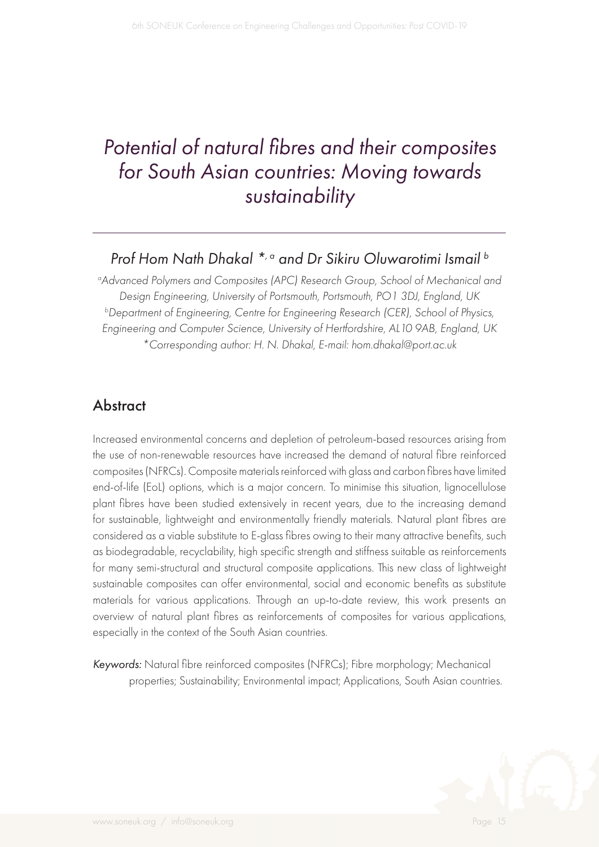# *Potential of natural fibres and their composites for South Asian countries: Moving towards sustainability*

#### *Prof Hom Nath Dhakal \*, a and Dr Sikiru Oluwarotimi Ismail b*

<sup>o</sup> Advanced Polymers and Composites (APC) Research Group, School of Mechanical and *Design Engineering, University of Portsmouth, Portsmouth, PO1 3DJ, England, UK b Department of Engineering, Centre for Engineering Research (CER), School of Physics, Engineering and Computer Science, University of Hertfordshire, AL10 9AB, England, UK \*Corresponding author: H. N. Dhakal, E-mail: hom.dhakal@port.ac.uk* 

#### **Abstract**

Increased environmental concerns and depletion of petroleum-based resources arising from the use of non-renewable resources have increased the demand of natural fibre reinforced composites (NFRCs). Composite materials reinforced with glass and carbon fibres have limited end-of-life (EoL) options, which is a major concern. To minimise this situation, lignocellulose plant fibres have been studied extensively in recent years, due to the increasing demand for sustainable, lightweight and environmentally friendly materials. Natural plant fibres are considered as a viable substitute to E-glass fibres owing to their many attractive benefits, such as biodegradable, recyclability, high specific strength and stiffness suitable as reinforcements for many semi-structural and structural composite applications. This new class of lightweight sustainable composites can offer environmental, social and economic benefits as substitute materials for various applications. Through an up-to-date review, this work presents an overview of natural plant fibres as reinforcements of composites for various applications, especially in the context of the South Asian countries.

*Keywords:* Natural fibre reinforced composites (NFRCs); Fibre morphology; Mechanical properties; Sustainability; Environmental impact; Applications, South Asian countries.

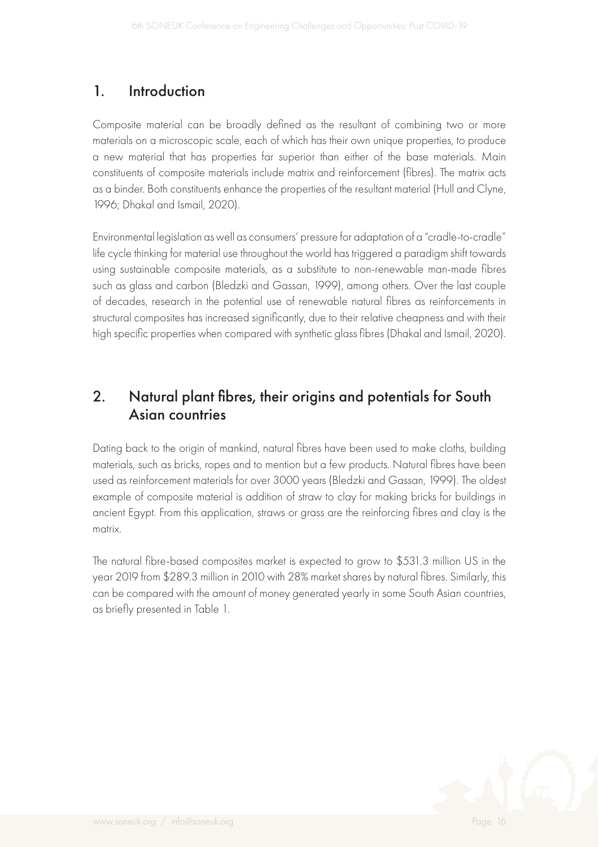#### 1. Introduction

Composite material can be broadly defined as the resultant of combining two or more materials on a microscopic scale, each of which has their own unique properties, to produce a new material that has properties far superior than either of the base materials. Main constituents of composite materials include matrix and reinforcement (fibres). The matrix acts as a binder. Both constituents enhance the properties of the resultant material (Hull and Clyne, 1996; Dhakal and Ismail, 2020).

Environmental legislation as well as consumers' pressure for adaptation of a "cradle-to-cradle" life cycle thinking for material use throughout the world has triggered a paradigm shift towards using sustainable composite materials, as a substitute to non-renewable man-made fibres such as glass and carbon (Bledzki and Gassan, 1999), among others. Over the last couple of decades, research in the potential use of renewable natural fibres as reinforcements in structural composites has increased significantly, due to their relative cheapness and with their high specific properties when compared with synthetic glass fibres (Dhakal and Ismail, 2020).

#### 2. Natural plant fibres, their origins and potentials for South Asian countries

Dating back to the origin of mankind, natural fibres have been used to make cloths, building materials, such as bricks, ropes and to mention but a few products. Natural fibres have been used as reinforcement materials for over 3000 years (Bledzki and Gassan, 1999). The oldest example of composite material is addition of straw to clay for making bricks for buildings in ancient Egypt. From this application, straws or grass are the reinforcing fibres and clay is the matrix.

The natural fibre-based composites market is expected to grow to \$531.3 million US in the year 2019 from \$289.3 million in 2010 with 28% market shares by natural fibres. Similarly, this can be compared with the amount of money generated yearly in some South Asian countries, as briefly presented in Table 1.

$$
\mathcal{L}(\mathbb{Q})
$$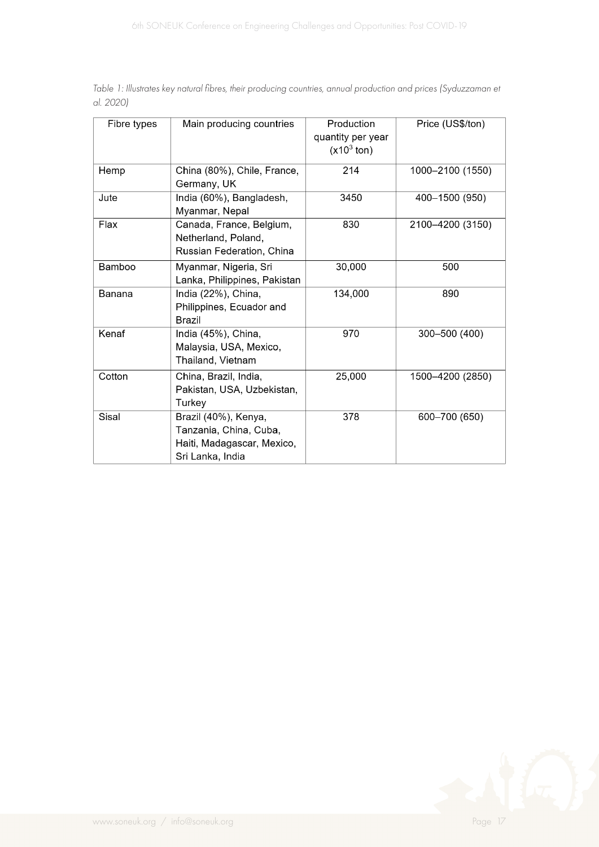| Fibre types | Main producing countries                                                                         | Production<br>quantity per year<br>$(x10^3 \text{ ton})$ | Price (US\$/ton) |
|-------------|--------------------------------------------------------------------------------------------------|----------------------------------------------------------|------------------|
| Hemp        | China (80%), Chile, France,<br>Germany, UK                                                       | 214                                                      | 1000-2100 (1550) |
| Jute        | India (60%), Bangladesh,<br>Myanmar, Nepal                                                       | 3450                                                     | 400-1500 (950)   |
| Flax        | Canada, France, Belgium,<br>Netherland, Poland,<br>Russian Federation, China                     | 830                                                      | 2100-4200 (3150) |
| Bamboo      | Myanmar, Nigeria, Sri<br>Lanka, Philippines, Pakistan                                            | 30,000                                                   | 500              |
| Banana      | India (22%), China,<br>Philippines, Ecuador and<br>Brazil                                        | 134,000                                                  | 890              |
| Kenaf       | India (45%), China,<br>Malaysia, USA, Mexico,<br>Thailand, Vietnam                               | 970                                                      | 300-500 (400)    |
| Cotton      | China, Brazil, India,<br>Pakistan, USA, Uzbekistan,<br>Turkey                                    | 25,000                                                   | 1500-4200 (2850) |
| Sisal       | Brazil (40%), Kenya,<br>Tanzania, China, Cuba,<br>Haiti, Madagascar, Mexico,<br>Sri Lanka, India | 378                                                      | 600-700 (650)    |

*Table 1: Illustrates key natural fibres, their producing countries, annual production and prices (Syduzzaman et al. 2020)*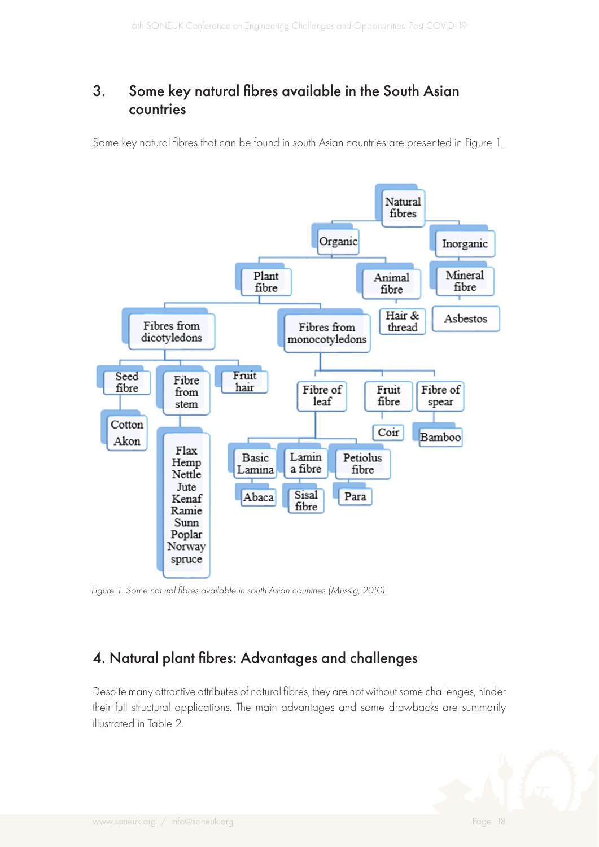#### 3. Some key natural fibres available in the South Asian countries

Some key natural fibres that can be found in south Asian countries are presented in Figure 1.



*Figure 1. Some natural fibres available in south Asian countries (Müssig, 2010).*

## 4. Natural plant fibres: Advantages and challenges

Despite many attractive attributes of natural fibres, they are not without some challenges, hinder their full structural applications. The main advantages and some drawbacks are summarily illustrated in Table 2.

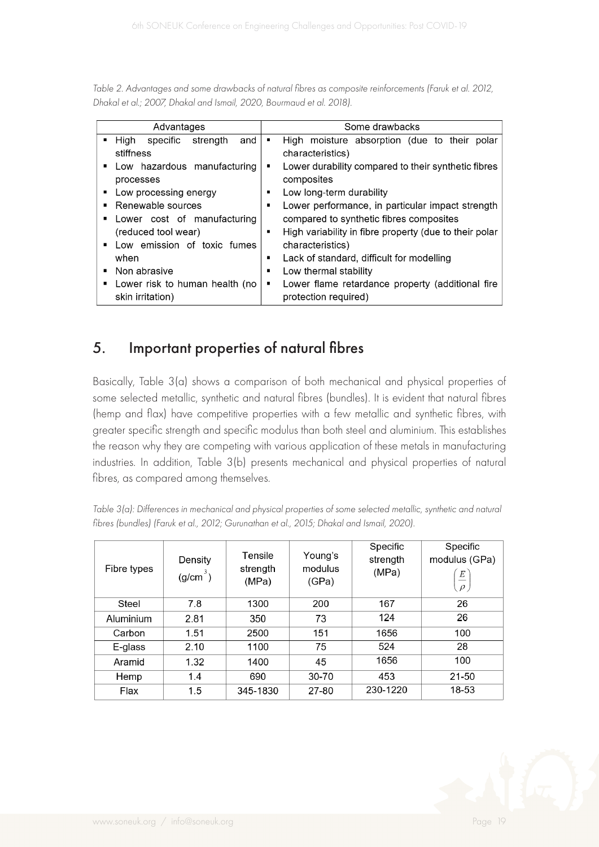*Table 2. Advantages and some drawbacks of natural fibres as composite reinforcements (Faruk et al. 2012, Dhakal et al.; 2007, Dhakal and Ismail, 2020, Bourmaud et al. 2018).*

| Advantages                                         | Some drawbacks                                                                |  |  |
|----------------------------------------------------|-------------------------------------------------------------------------------|--|--|
| High<br>specific<br>strength<br>and<br>stiffness   | High moisture absorption (due to their<br>polar<br>٠<br>characteristics)      |  |  |
| Low hazardous manufacturing<br>processes           | Lower durability compared to their synthetic fibres<br>٠<br>composites        |  |  |
| Low processing energy                              | Low long-term durability<br>٠                                                 |  |  |
| Renewable sources                                  | Lower performance, in particular impact strength<br>٠                         |  |  |
| Lower cost of manufacturing<br>٠                   | compared to synthetic fibres composites                                       |  |  |
| (reduced tool wear)                                | High variability in fibre property (due to their polar<br>٠                   |  |  |
| Low emission of toxic fumes                        | characteristics)                                                              |  |  |
| when                                               | Lack of standard, difficult for modelling<br>Ξ                                |  |  |
| Non abrasive<br>٠                                  | Low thermal stability<br>▪                                                    |  |  |
| Lower risk to human health (no<br>skin irritation) | Lower flame retardance property (additional fire<br>٠<br>protection required) |  |  |

## 5. Important properties of natural fibres

Basically, Table 3(a) shows a comparison of both mechanical and physical properties of some selected metallic, synthetic and natural fibres (bundles). It is evident that natural fibres (hemp and flax) have competitive properties with a few metallic and synthetic fibres, with greater specific strength and specific modulus than both steel and aluminium. This establishes the reason why they are competing with various application of these metals in manufacturing industries. In addition, Table 3(b) presents mechanical and physical properties of natural fibres, as compared among themselves.

| Fibre types | Density<br>$(g/cm^3)$ | Tensile<br>strength<br>(MPa) | Young's<br>modulus<br>(GPa) | Specific<br>strength<br>(MPa) | Specific<br>modulus (GPa)<br>$\cal E$<br>$\rho$ |
|-------------|-----------------------|------------------------------|-----------------------------|-------------------------------|-------------------------------------------------|
| Steel       | 7.8                   | 1300                         | 200                         | 167                           | 26                                              |
| Aluminium   | 2.81                  | 350                          | 73                          | 124                           | 26                                              |
| Carbon      | 1.51                  | 2500                         | 151                         | 1656                          | 100                                             |
| E-glass     | 2.10                  | 1100                         | 75                          | 524                           | 28                                              |
| Aramid      | 1.32                  | 1400                         | 45                          | 1656                          | 100                                             |
| Hemp        | 1.4                   | 690                          | 30-70                       | 453                           | 21-50                                           |
| Flax        | 1.5                   | 345-1830                     | 27-80                       | 230-1220                      | 18-53                                           |

*Table 3(a): Differences in mechanical and physical properties of some selected metallic, synthetic and natural fibres (bundles) (Faruk et al., 2012; Gurunathan et al., 2015; Dhakal and Ismail, 2020).*

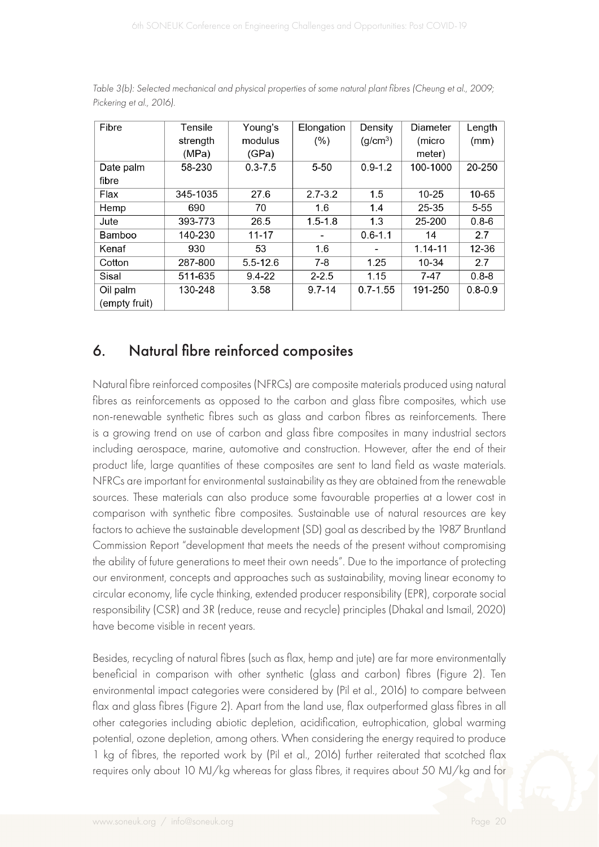| Fibre         | Tensile  | Young's      | Elongation  | Density              | Diameter    | Length      |
|---------------|----------|--------------|-------------|----------------------|-------------|-------------|
|               | strength | modulus      | $(\%)$      | (g/cm <sup>3</sup> ) | (micro      | (mm)        |
|               | (MPa)    | (GPa)        |             |                      | meter)      |             |
| Date palm     | 58-230   | $0.3 - 7.5$  | $5 - 50$    | $0.9 - 1.2$          | 100-1000    | 20-250      |
| fibre         |          |              |             |                      |             |             |
| Flax          | 345-1035 | 27.6         | $2.7 - 3.2$ | 1.5                  | $10 - 25$   | 10-65       |
| Hemp          | 690      | 70           | 1.6         | 1.4                  | 25-35       | $5 - 55$    |
| Jute          | 393-773  | 26.5         | $1.5 - 1.8$ | 1.3                  | 25-200      | $0.8 - 6$   |
| Bamboo        | 140-230  | $11 - 17$    |             | $0.6 - 1.1$          | 14          | 2.7         |
| Kenaf         | 930      | 53           | 1.6         | ۰                    | $1.14 - 11$ | $12 - 36$   |
| Cotton        | 287-800  | $5.5 - 12.6$ | $7 - 8$     | 1.25                 | 10-34       | 2.7         |
| Sisal         | 511-635  | $9.4 - 22$   | $2 - 2.5$   | 1.15                 | $7 - 47$    | $0.8 - 8$   |
| Oil palm      | 130-248  | 3.58         | $9.7 - 14$  | $0.7 - 1.55$         | 191-250     | $0.8 - 0.9$ |
| (empty fruit) |          |              |             |                      |             |             |

*Table 3(b): Selected mechanical and physical properties of some natural plant fibres (Cheung et al., 2009; Pickering et al., 2016).*

## 6. Natural fibre reinforced composites

Natural fibre reinforced composites (NFRCs) are composite materials produced using natural fibres as reinforcements as opposed to the carbon and glass fibre composites, which use non-renewable synthetic fibres such as glass and carbon fibres as reinforcements. There is a growing trend on use of carbon and glass fibre composites in many industrial sectors including aerospace, marine, automotive and construction. However, after the end of their product life, large quantities of these composites are sent to land field as waste materials. NFRCs are important for environmental sustainability as they are obtained from the renewable sources. These materials can also produce some favourable properties at a lower cost in comparison with synthetic fibre composites. Sustainable use of natural resources are key factors to achieve the sustainable development (SD) goal as described by the 1987 Bruntland Commission Report "development that meets the needs of the present without compromising the ability of future generations to meet their own needs". Due to the importance of protecting our environment, concepts and approaches such as sustainability, moving linear economy to circular economy, life cycle thinking, extended producer responsibility (EPR), corporate social responsibility (CSR) and 3R (reduce, reuse and recycle) principles (Dhakal and Ismail, 2020) have become visible in recent years.

Besides, recycling of natural fibres (such as flax, hemp and jute) are far more environmentally beneficial in comparison with other synthetic (glass and carbon) fibres (Figure 2). Ten environmental impact categories were considered by (Pil et al., 2016) to compare between flax and glass fibres (Figure 2). Apart from the land use, flax outperformed glass fibres in all other categories including abiotic depletion, acidification, eutrophication, global warming potential, ozone depletion, among others. When considering the energy required to produce 1 kg of fibres, the reported work by (Pil et al., 2016) further reiterated that scotched flax requires only about 10 MJ/kg whereas for glass fibres, it requires about 50 MJ/kg and for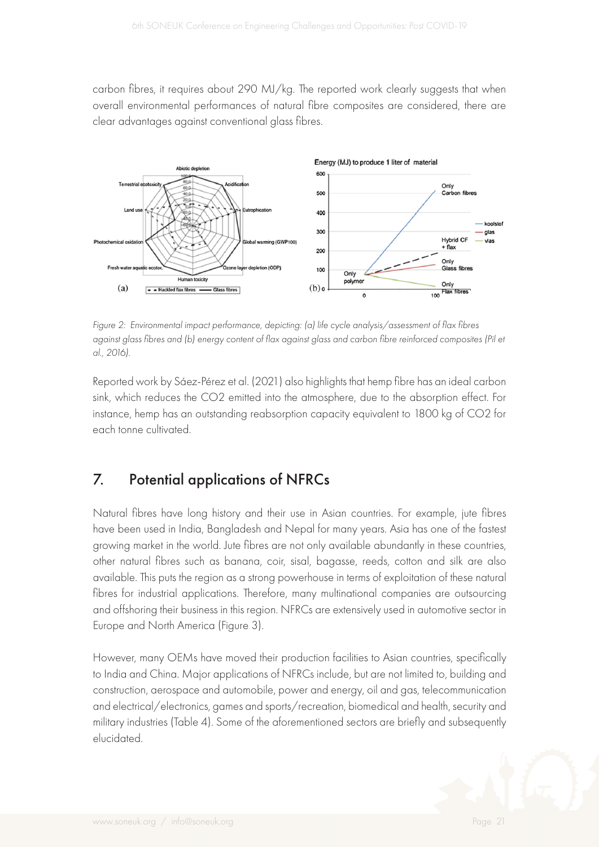carbon fibres, it requires about 290 MJ/kg. The reported work clearly suggests that when overall environmental performances of natural fibre composites are considered, there are clear advantages against conventional glass fibres.



*Figure 2: Environmental impact performance, depicting: (a) life cycle analysis/assessment of flax fibres against glass fibres and (b) energy content of flax against glass and carbon fibre reinforced composites (Pil et al., 2016).*

Reported work by Sáez-Pérez et al. (2021) also highlights that hemp fibre has an ideal carbon sink, which reduces the CO2 emitted into the atmosphere, due to the absorption effect. For instance, hemp has an outstanding reabsorption capacity equivalent to 1800 kg of CO2 for each tonne cultivated.

## 7. Potential applications of NFRCs

Natural fibres have long history and their use in Asian countries. For example, jute fibres have been used in India, Bangladesh and Nepal for many years. Asia has one of the fastest growing market in the world. Jute fibres are not only available abundantly in these countries, other natural fibres such as banana, coir, sisal, bagasse, reeds, cotton and silk are also available. This puts the region as a strong powerhouse in terms of exploitation of these natural fibres for industrial applications. Therefore, many multinational companies are outsourcing and offshoring their business in this region. NFRCs are extensively used in automotive sector in Europe and North America (Figure 3).

However, many OEMs have moved their production facilities to Asian countries, specifically to India and China. Major applications of NFRCs include, but are not limited to, building and construction, aerospace and automobile, power and energy, oil and gas, telecommunication and electrical/electronics, games and sports/recreation, biomedical and health, security and military industries (Table 4). Some of the aforementioned sectors are briefly and subsequently elucidated.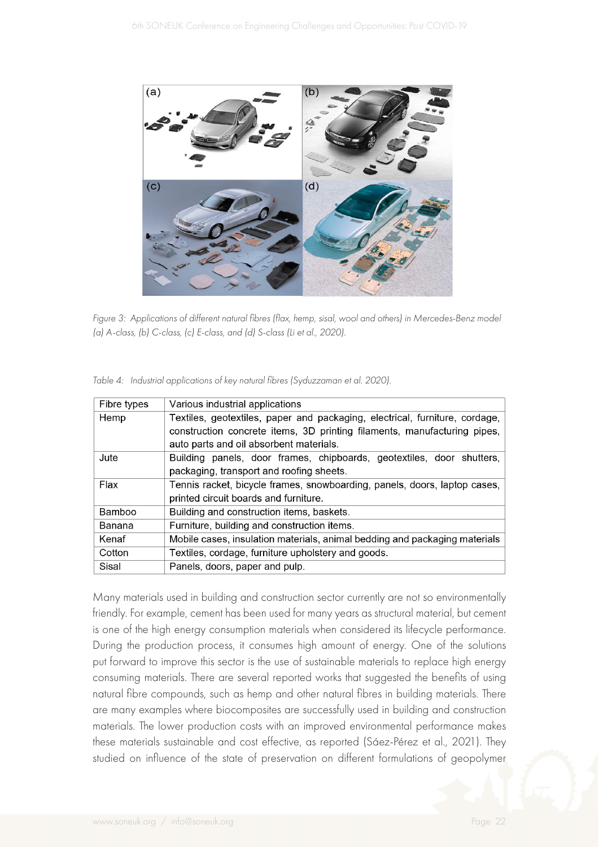

*Figure 3: Applications of different natural fibres (flax, hemp, sisal, wool and others) in Mercedes-Benz model (a) A-class, (b) C-class, (c) E-class, and (d) S-class (Li et al., 2020).*

| Fibre types | Various industrial applications                                             |  |
|-------------|-----------------------------------------------------------------------------|--|
| Hemp        | Textiles, geotextiles, paper and packaging, electrical, furniture, cordage, |  |
|             | construction concrete items, 3D printing filaments, manufacturing pipes,    |  |
|             | auto parts and oil absorbent materials.                                     |  |
| Jute        | Building panels, door frames, chipboards, geotextiles, door shutters,       |  |
|             | packaging, transport and roofing sheets.                                    |  |
| Flax        | Tennis racket, bicycle frames, snowboarding, panels, doors, laptop cases,   |  |
|             | printed circuit boards and furniture.                                       |  |
| Bamboo      | Building and construction items, baskets.                                   |  |
| Banana      | Furniture, building and construction items.                                 |  |
| Kenaf       | Mobile cases, insulation materials, animal bedding and packaging materials  |  |
| Cotton      | Textiles, cordage, furniture upholstery and goods.                          |  |
| Sisal       | Panels, doors, paper and pulp.                                              |  |

*Table 4: Industrial applications of key natural fibres (Syduzzaman et al. 2020).*

Many materials used in building and construction sector currently are not so environmentally friendly. For example, cement has been used for many years as structural material, but cement is one of the high energy consumption materials when considered its lifecycle performance. During the production process, it consumes high amount of energy. One of the solutions put forward to improve this sector is the use of sustainable materials to replace high energy consuming materials. There are several reported works that suggested the benefits of using natural fibre compounds, such as hemp and other natural fibres in building materials. There are many examples where biocomposites are successfully used in building and construction materials. The lower production costs with an improved environmental performance makes these materials sustainable and cost effective, as reported (Sáez-Pérez et al., 2021). They studied on influence of the state of preservation on different formulations of geopolymer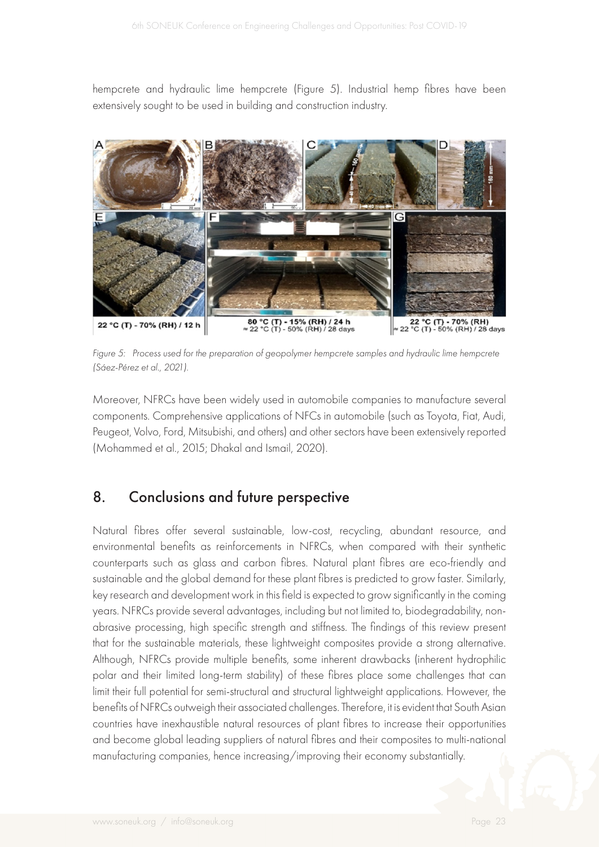hempcrete and hydraulic lime hempcrete (Figure 5). Industrial hemp fibres have been extensively sought to be used in building and construction industry.



*Figure 5: Process used for the preparation of geopolymer hempcrete samples and hydraulic lime hempcrete (Sáez-Pérez et al., 2021).*

Moreover, NFRCs have been widely used in automobile companies to manufacture several components. Comprehensive applications of NFCs in automobile (such as Toyota, Fiat, Audi, Peugeot, Volvo, Ford, Mitsubishi, and others) and other sectors have been extensively reported (Mohammed et al., 2015; Dhakal and Ismail, 2020).

#### 8. Conclusions and future perspective

Natural fibres offer several sustainable, low-cost, recycling, abundant resource, and environmental benefits as reinforcements in NFRCs, when compared with their synthetic counterparts such as glass and carbon fibres. Natural plant fibres are eco-friendly and sustainable and the global demand for these plant fibres is predicted to grow faster. Similarly, key research and development work in this field is expected to grow significantly in the coming years. NFRCs provide several advantages, including but not limited to, biodegradability, nonabrasive processing, high specific strength and stiffness. The findings of this review present that for the sustainable materials, these lightweight composites provide a strong alternative. Although, NFRCs provide multiple benefits, some inherent drawbacks (inherent hydrophilic polar and their limited long-term stability) of these fibres place some challenges that can limit their full potential for semi-structural and structural lightweight applications. However, the benefits of NFRCs outweigh their associated challenges. Therefore, it is evident that South Asian countries have inexhaustible natural resources of plant fibres to increase their opportunities and become global leading suppliers of natural fibres and their composites to multi-national manufacturing companies, hence increasing/improving their economy substantially.